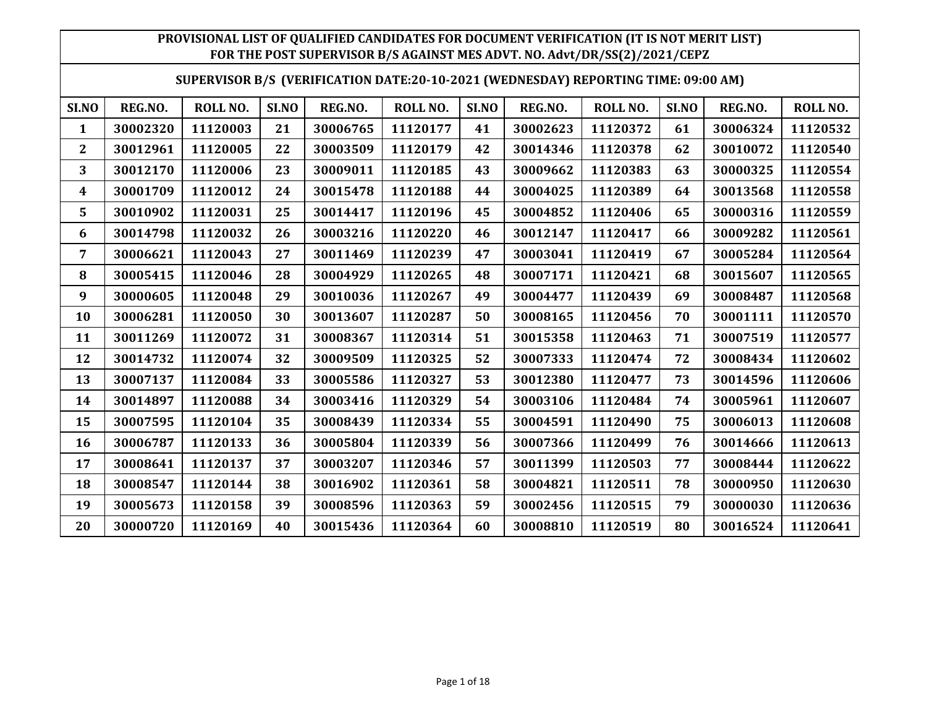| SUPERVISOR B/S (VERIFICATION DATE:20-10-2021 (WEDNESDAY) REPORTING TIME: 09:00 AM) |
|------------------------------------------------------------------------------------|
|------------------------------------------------------------------------------------|

| SI.NO        | REG.NO.  | ROLL NO. | SI.NO | REG.NO.  | ROLL NO. | SI.NO | REG.NO.  | ROLL NO. | SI.NO | REG.NO.  | ROLL NO. |
|--------------|----------|----------|-------|----------|----------|-------|----------|----------|-------|----------|----------|
| 1            | 30002320 | 11120003 | 21    | 30006765 | 11120177 | 41    | 30002623 | 11120372 | 61    | 30006324 | 11120532 |
| $\mathbf{2}$ | 30012961 | 11120005 | 22    | 30003509 | 11120179 | 42    | 30014346 | 11120378 | 62    | 30010072 | 11120540 |
| 3            | 30012170 | 11120006 | 23    | 30009011 | 11120185 | 43    | 30009662 | 11120383 | 63    | 30000325 | 11120554 |
| 4            | 30001709 | 11120012 | 24    | 30015478 | 11120188 | 44    | 30004025 | 11120389 | 64    | 30013568 | 11120558 |
| 5            | 30010902 | 11120031 | 25    | 30014417 | 11120196 | 45    | 30004852 | 11120406 | 65    | 30000316 | 11120559 |
| 6            | 30014798 | 11120032 | 26    | 30003216 | 11120220 | 46    | 30012147 | 11120417 | 66    | 30009282 | 11120561 |
| 7            | 30006621 | 11120043 | 27    | 30011469 | 11120239 | 47    | 30003041 | 11120419 | 67    | 30005284 | 11120564 |
| 8            | 30005415 | 11120046 | 28    | 30004929 | 11120265 | 48    | 30007171 | 11120421 | 68    | 30015607 | 11120565 |
| 9            | 30000605 | 11120048 | 29    | 30010036 | 11120267 | 49    | 30004477 | 11120439 | 69    | 30008487 | 11120568 |
| 10           | 30006281 | 11120050 | 30    | 30013607 | 11120287 | 50    | 30008165 | 11120456 | 70    | 30001111 | 11120570 |
| 11           | 30011269 | 11120072 | 31    | 30008367 | 11120314 | 51    | 30015358 | 11120463 | 71    | 30007519 | 11120577 |
| 12           | 30014732 | 11120074 | 32    | 30009509 | 11120325 | 52    | 30007333 | 11120474 | 72    | 30008434 | 11120602 |
| 13           | 30007137 | 11120084 | 33    | 30005586 | 11120327 | 53    | 30012380 | 11120477 | 73    | 30014596 | 11120606 |
| 14           | 30014897 | 11120088 | 34    | 30003416 | 11120329 | 54    | 30003106 | 11120484 | 74    | 30005961 | 11120607 |
| 15           | 30007595 | 11120104 | 35    | 30008439 | 11120334 | 55    | 30004591 | 11120490 | 75    | 30006013 | 11120608 |
| 16           | 30006787 | 11120133 | 36    | 30005804 | 11120339 | 56    | 30007366 | 11120499 | 76    | 30014666 | 11120613 |
| 17           | 30008641 | 11120137 | 37    | 30003207 | 11120346 | 57    | 30011399 | 11120503 | 77    | 30008444 | 11120622 |
| 18           | 30008547 | 11120144 | 38    | 30016902 | 11120361 | 58    | 30004821 | 11120511 | 78    | 30000950 | 11120630 |
| 19           | 30005673 | 11120158 | 39    | 30008596 | 11120363 | 59    | 30002456 | 11120515 | 79    | 30000030 | 11120636 |
| 20           | 30000720 | 11120169 | 40    | 30015436 | 11120364 | 60    | 30008810 | 11120519 | 80    | 30016524 | 11120641 |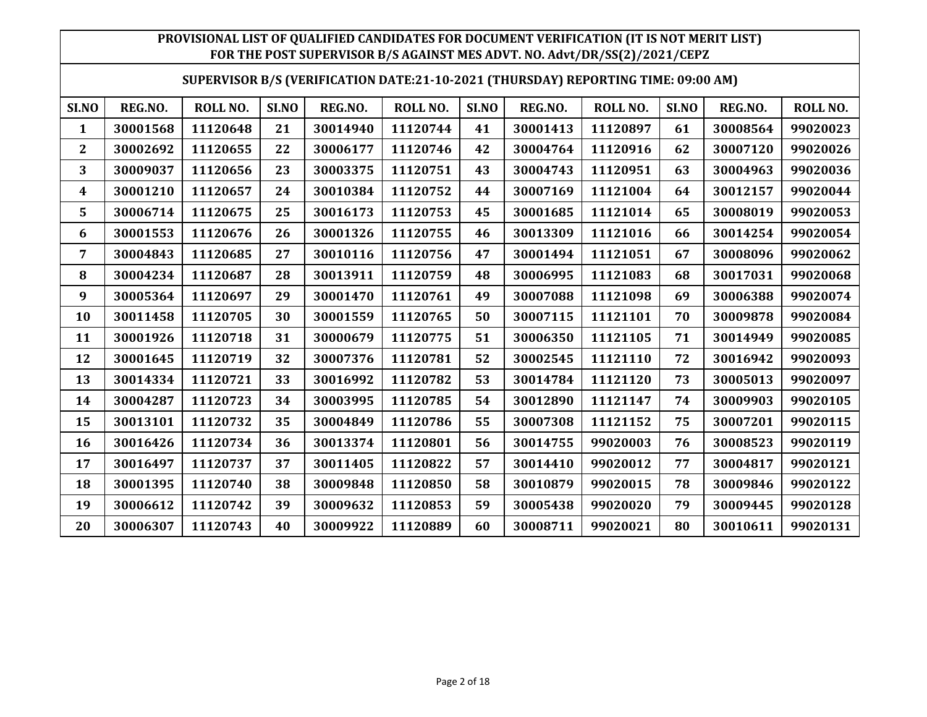|  |  | SUPERVISOR B/S (VERIFICATION DATE:21-10-2021 (THURSDAY) REPORTING TIME: 09:00 AM) |
|--|--|-----------------------------------------------------------------------------------|
|--|--|-----------------------------------------------------------------------------------|

| SI.NO | REG.NO.  | ROLL NO. | SI.NO | REG.NO.  | ROLL NO. | SI.NO | REG.NO.  | <b>ROLL NO.</b> | SI.NO | REG.NO.  | ROLL NO. |
|-------|----------|----------|-------|----------|----------|-------|----------|-----------------|-------|----------|----------|
| 1     | 30001568 | 11120648 | 21    | 30014940 | 11120744 | 41    | 30001413 | 11120897        | 61    | 30008564 | 99020023 |
| 2     | 30002692 | 11120655 | 22    | 30006177 | 11120746 | 42    | 30004764 | 11120916        | 62    | 30007120 | 99020026 |
| 3     | 30009037 | 11120656 | 23    | 30003375 | 11120751 | 43    | 30004743 | 11120951        | 63    | 30004963 | 99020036 |
| 4     | 30001210 | 11120657 | 24    | 30010384 | 11120752 | 44    | 30007169 | 11121004        | 64    | 30012157 | 99020044 |
| 5     | 30006714 | 11120675 | 25    | 30016173 | 11120753 | 45    | 30001685 | 11121014        | 65    | 30008019 | 99020053 |
| 6     | 30001553 | 11120676 | 26    | 30001326 | 11120755 | 46    | 30013309 | 11121016        | 66    | 30014254 | 99020054 |
| 7     | 30004843 | 11120685 | 27    | 30010116 | 11120756 | 47    | 30001494 | 11121051        | 67    | 30008096 | 99020062 |
| 8     | 30004234 | 11120687 | 28    | 30013911 | 11120759 | 48    | 30006995 | 11121083        | 68    | 30017031 | 99020068 |
| 9     | 30005364 | 11120697 | 29    | 30001470 | 11120761 | 49    | 30007088 | 11121098        | 69    | 30006388 | 99020074 |
| 10    | 30011458 | 11120705 | 30    | 30001559 | 11120765 | 50    | 30007115 | 11121101        | 70    | 30009878 | 99020084 |
| 11    | 30001926 | 11120718 | 31    | 30000679 | 11120775 | 51    | 30006350 | 11121105        | 71    | 30014949 | 99020085 |
| 12    | 30001645 | 11120719 | 32    | 30007376 | 11120781 | 52    | 30002545 | 11121110        | 72    | 30016942 | 99020093 |
| 13    | 30014334 | 11120721 | 33    | 30016992 | 11120782 | 53    | 30014784 | 11121120        | 73    | 30005013 | 99020097 |
| 14    | 30004287 | 11120723 | 34    | 30003995 | 11120785 | 54    | 30012890 | 11121147        | 74    | 30009903 | 99020105 |
| 15    | 30013101 | 11120732 | 35    | 30004849 | 11120786 | 55    | 30007308 | 11121152        | 75    | 30007201 | 99020115 |
| 16    | 30016426 | 11120734 | 36    | 30013374 | 11120801 | 56    | 30014755 | 99020003        | 76    | 30008523 | 99020119 |
| 17    | 30016497 | 11120737 | 37    | 30011405 | 11120822 | 57    | 30014410 | 99020012        | 77    | 30004817 | 99020121 |
| 18    | 30001395 | 11120740 | 38    | 30009848 | 11120850 | 58    | 30010879 | 99020015        | 78    | 30009846 | 99020122 |
| 19    | 30006612 | 11120742 | 39    | 30009632 | 11120853 | 59    | 30005438 | 99020020        | 79    | 30009445 | 99020128 |
| 20    | 30006307 | 11120743 | 40    | 30009922 | 11120889 | 60    | 30008711 | 99020021        | 80    | 30010611 | 99020131 |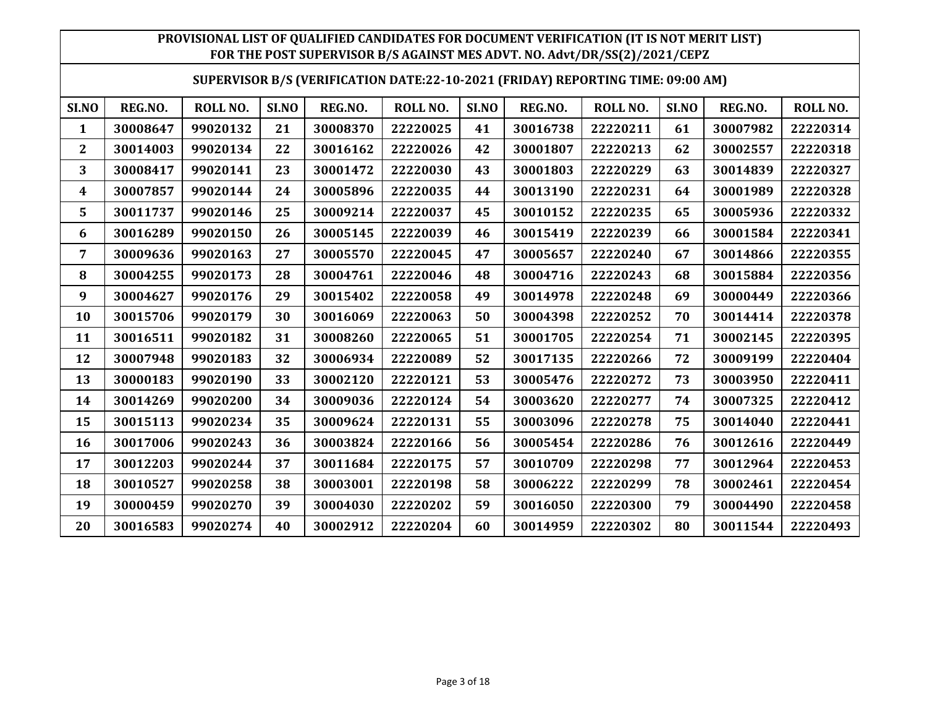|  |  | SUPERVISOR B/S (VERIFICATION DATE:22-10-2021 (FRIDAY) REPORTING TIME: 09:00 AM) |
|--|--|---------------------------------------------------------------------------------|
|--|--|---------------------------------------------------------------------------------|

| SI.NO | REG.NO.  | <b>ROLL NO.</b> | SI.NO | REG.NO.  | <b>ROLL NO.</b> | SI.NO | REG.NO.  | <b>ROLL NO.</b> | SI.NO | REG.NO.  | ROLL NO. |
|-------|----------|-----------------|-------|----------|-----------------|-------|----------|-----------------|-------|----------|----------|
| 1     | 30008647 | 99020132        | 21    | 30008370 | 22220025        | 41    | 30016738 | 22220211        | 61    | 30007982 | 22220314 |
| 2     | 30014003 | 99020134        | 22    | 30016162 | 22220026        | 42    | 30001807 | 22220213        | 62    | 30002557 | 22220318 |
| 3     | 30008417 | 99020141        | 23    | 30001472 | 22220030        | 43    | 30001803 | 22220229        | 63    | 30014839 | 22220327 |
| 4     | 30007857 | 99020144        | 24    | 30005896 | 22220035        | 44    | 30013190 | 22220231        | 64    | 30001989 | 22220328 |
| 5     | 30011737 | 99020146        | 25    | 30009214 | 22220037        | 45    | 30010152 | 22220235        | 65    | 30005936 | 22220332 |
| 6     | 30016289 | 99020150        | 26    | 30005145 | 22220039        | 46    | 30015419 | 22220239        | 66    | 30001584 | 22220341 |
| 7     | 30009636 | 99020163        | 27    | 30005570 | 22220045        | 47    | 30005657 | 22220240        | 67    | 30014866 | 22220355 |
| 8     | 30004255 | 99020173        | 28    | 30004761 | 22220046        | 48    | 30004716 | 22220243        | 68    | 30015884 | 22220356 |
| 9     | 30004627 | 99020176        | 29    | 30015402 | 22220058        | 49    | 30014978 | 22220248        | 69    | 30000449 | 22220366 |
| 10    | 30015706 | 99020179        | 30    | 30016069 | 22220063        | 50    | 30004398 | 22220252        | 70    | 30014414 | 22220378 |
| 11    | 30016511 | 99020182        | 31    | 30008260 | 22220065        | 51    | 30001705 | 22220254        | 71    | 30002145 | 22220395 |
| 12    | 30007948 | 99020183        | 32    | 30006934 | 22220089        | 52    | 30017135 | 22220266        | 72    | 30009199 | 22220404 |
| 13    | 30000183 | 99020190        | 33    | 30002120 | 22220121        | 53    | 30005476 | 22220272        | 73    | 30003950 | 22220411 |
| 14    | 30014269 | 99020200        | 34    | 30009036 | 22220124        | 54    | 30003620 | 22220277        | 74    | 30007325 | 22220412 |
| 15    | 30015113 | 99020234        | 35    | 30009624 | 22220131        | 55    | 30003096 | 22220278        | 75    | 30014040 | 22220441 |
| 16    | 30017006 | 99020243        | 36    | 30003824 | 22220166        | 56    | 30005454 | 22220286        | 76    | 30012616 | 22220449 |
| 17    | 30012203 | 99020244        | 37    | 30011684 | 22220175        | 57    | 30010709 | 22220298        | 77    | 30012964 | 22220453 |
| 18    | 30010527 | 99020258        | 38    | 30003001 | 22220198        | 58    | 30006222 | 22220299        | 78    | 30002461 | 22220454 |
| 19    | 30000459 | 99020270        | 39    | 30004030 | 22220202        | 59    | 30016050 | 22220300        | 79    | 30004490 | 22220458 |
| 20    | 30016583 | 99020274        | 40    | 30002912 | 22220204        | 60    | 30014959 | 22220302        | 80    | 30011544 | 22220493 |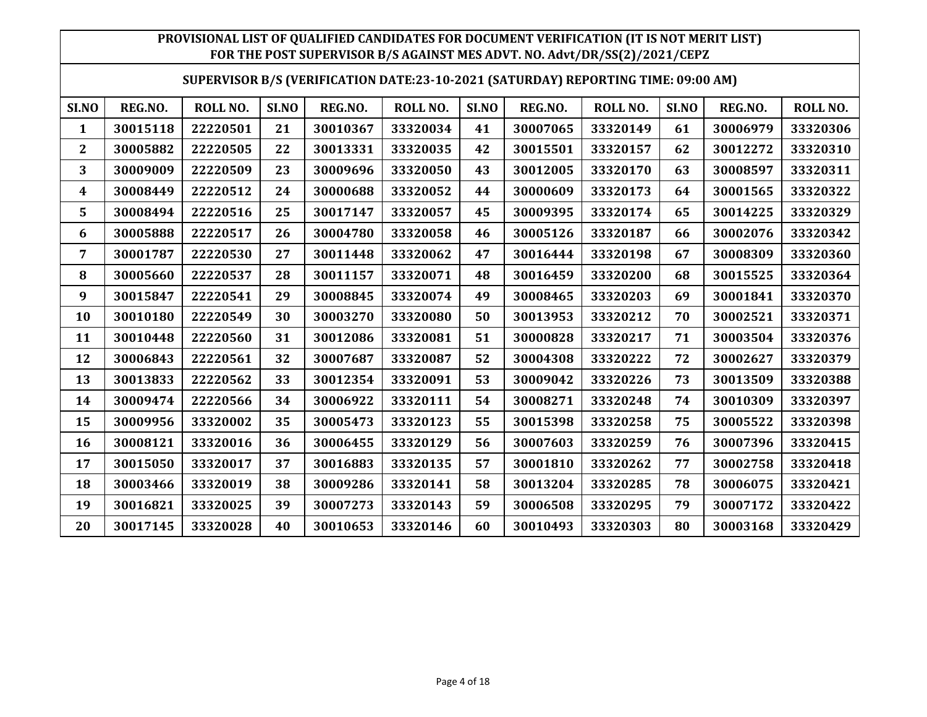#### **SUPERVISOR B/S (VERIFICATION DATE:23-10-2021 (SATURDAY) REPORTING TIME: 09:00 AM)**

| SI.NO          | REG.NO.  | ROLL NO. | SI.NO | REG.NO.  | ROLL NO. | SI.NO | REG.NO.  | <b>ROLL NO.</b> | SI.NO | REG.NO.  | ROLL NO. |
|----------------|----------|----------|-------|----------|----------|-------|----------|-----------------|-------|----------|----------|
| 1              | 30015118 | 22220501 | 21    | 30010367 | 33320034 | 41    | 30007065 | 33320149        | 61    | 30006979 | 33320306 |
| $\overline{2}$ | 30005882 | 22220505 | 22    | 30013331 | 33320035 | 42    | 30015501 | 33320157        | 62    | 30012272 | 33320310 |
| 3              | 30009009 | 22220509 | 23    | 30009696 | 33320050 | 43    | 30012005 | 33320170        | 63    | 30008597 | 33320311 |
| 4              | 30008449 | 22220512 | 24    | 30000688 | 33320052 | 44    | 30000609 | 33320173        | 64    | 30001565 | 33320322 |
| 5              | 30008494 | 22220516 | 25    | 30017147 | 33320057 | 45    | 30009395 | 33320174        | 65    | 30014225 | 33320329 |
| 6              | 30005888 | 22220517 | 26    | 30004780 | 33320058 | 46    | 30005126 | 33320187        | 66    | 30002076 | 33320342 |
| 7              | 30001787 | 22220530 | 27    | 30011448 | 33320062 | 47    | 30016444 | 33320198        | 67    | 30008309 | 33320360 |
| 8              | 30005660 | 22220537 | 28    | 30011157 | 33320071 | 48    | 30016459 | 33320200        | 68    | 30015525 | 33320364 |
| 9              | 30015847 | 22220541 | 29    | 30008845 | 33320074 | 49    | 30008465 | 33320203        | 69    | 30001841 | 33320370 |
| 10             | 30010180 | 22220549 | 30    | 30003270 | 33320080 | 50    | 30013953 | 33320212        | 70    | 30002521 | 33320371 |
| 11             | 30010448 | 22220560 | 31    | 30012086 | 33320081 | 51    | 30000828 | 33320217        | 71    | 30003504 | 33320376 |
| 12             | 30006843 | 22220561 | 32    | 30007687 | 33320087 | 52    | 30004308 | 33320222        | 72    | 30002627 | 33320379 |
| 13             | 30013833 | 22220562 | 33    | 30012354 | 33320091 | 53    | 30009042 | 33320226        | 73    | 30013509 | 33320388 |
| 14             | 30009474 | 22220566 | 34    | 30006922 | 33320111 | 54    | 30008271 | 33320248        | 74    | 30010309 | 33320397 |
| 15             | 30009956 | 33320002 | 35    | 30005473 | 33320123 | 55    | 30015398 | 33320258        | 75    | 30005522 | 33320398 |
| 16             | 30008121 | 33320016 | 36    | 30006455 | 33320129 | 56    | 30007603 | 33320259        | 76    | 30007396 | 33320415 |
| 17             | 30015050 | 33320017 | 37    | 30016883 | 33320135 | 57    | 30001810 | 33320262        | 77    | 30002758 | 33320418 |
| 18             | 30003466 | 33320019 | 38    | 30009286 | 33320141 | 58    | 30013204 | 33320285        | 78    | 30006075 | 33320421 |
| 19             | 30016821 | 33320025 | 39    | 30007273 | 33320143 | 59    | 30006508 | 33320295        | 79    | 30007172 | 33320422 |
| 20             | 30017145 | 33320028 | 40    | 30010653 | 33320146 | 60    | 30010493 | 33320303        | 80    | 30003168 | 33320429 |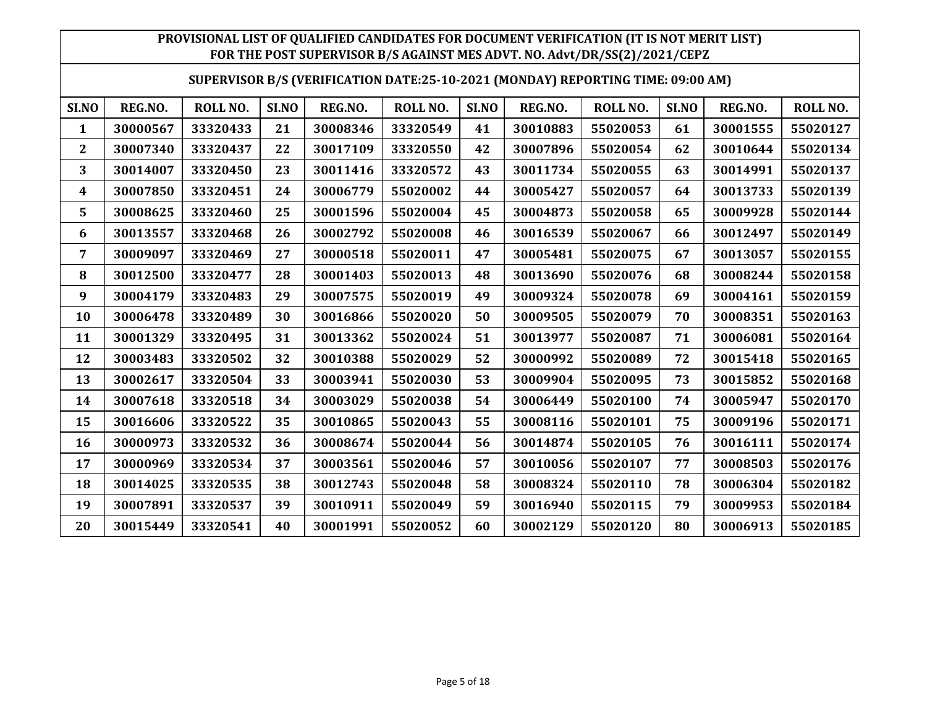#### **SUPERVISOR B/S (VERIFICATION DATE:25-10-2021 (MONDAY) REPORTING TIME: 09:00 AM)**

| SI.NO          | REG.NO.  | <b>ROLL NO.</b> | SI.NO | REG.NO.  | ROLL NO. | SI.NO | REG.NO.  | <b>ROLL NO.</b> | SI.NO | REG.NO.  | ROLL NO. |
|----------------|----------|-----------------|-------|----------|----------|-------|----------|-----------------|-------|----------|----------|
| 1              | 30000567 | 33320433        | 21    | 30008346 | 33320549 | 41    | 30010883 | 55020053        | 61    | 30001555 | 55020127 |
| $\overline{2}$ | 30007340 | 33320437        | 22    | 30017109 | 33320550 | 42    | 30007896 | 55020054        | 62    | 30010644 | 55020134 |
| 3              | 30014007 | 33320450        | 23    | 30011416 | 33320572 | 43    | 30011734 | 55020055        | 63    | 30014991 | 55020137 |
| 4              | 30007850 | 33320451        | 24    | 30006779 | 55020002 | 44    | 30005427 | 55020057        | 64    | 30013733 | 55020139 |
| 5              | 30008625 | 33320460        | 25    | 30001596 | 55020004 | 45    | 30004873 | 55020058        | 65    | 30009928 | 55020144 |
| 6              | 30013557 | 33320468        | 26    | 30002792 | 55020008 | 46    | 30016539 | 55020067        | 66    | 30012497 | 55020149 |
| 7              | 30009097 | 33320469        | 27    | 30000518 | 55020011 | 47    | 30005481 | 55020075        | 67    | 30013057 | 55020155 |
| 8              | 30012500 | 33320477        | 28    | 30001403 | 55020013 | 48    | 30013690 | 55020076        | 68    | 30008244 | 55020158 |
| 9              | 30004179 | 33320483        | 29    | 30007575 | 55020019 | 49    | 30009324 | 55020078        | 69    | 30004161 | 55020159 |
| 10             | 30006478 | 33320489        | 30    | 30016866 | 55020020 | 50    | 30009505 | 55020079        | 70    | 30008351 | 55020163 |
| 11             | 30001329 | 33320495        | 31    | 30013362 | 55020024 | 51    | 30013977 | 55020087        | 71    | 30006081 | 55020164 |
| 12             | 30003483 | 33320502        | 32    | 30010388 | 55020029 | 52    | 30000992 | 55020089        | 72    | 30015418 | 55020165 |
| 13             | 30002617 | 33320504        | 33    | 30003941 | 55020030 | 53    | 30009904 | 55020095        | 73    | 30015852 | 55020168 |
| 14             | 30007618 | 33320518        | 34    | 30003029 | 55020038 | 54    | 30006449 | 55020100        | 74    | 30005947 | 55020170 |
| 15             | 30016606 | 33320522        | 35    | 30010865 | 55020043 | 55    | 30008116 | 55020101        | 75    | 30009196 | 55020171 |
| 16             | 30000973 | 33320532        | 36    | 30008674 | 55020044 | 56    | 30014874 | 55020105        | 76    | 30016111 | 55020174 |
| 17             | 30000969 | 33320534        | 37    | 30003561 | 55020046 | 57    | 30010056 | 55020107        | 77    | 30008503 | 55020176 |
| 18             | 30014025 | 33320535        | 38    | 30012743 | 55020048 | 58    | 30008324 | 55020110        | 78    | 30006304 | 55020182 |
| 19             | 30007891 | 33320537        | 39    | 30010911 | 55020049 | 59    | 30016940 | 55020115        | 79    | 30009953 | 55020184 |
| 20             | 30015449 | 33320541        | 40    | 30001991 | 55020052 | 60    | 30002129 | 55020120        | 80    | 30006913 | 55020185 |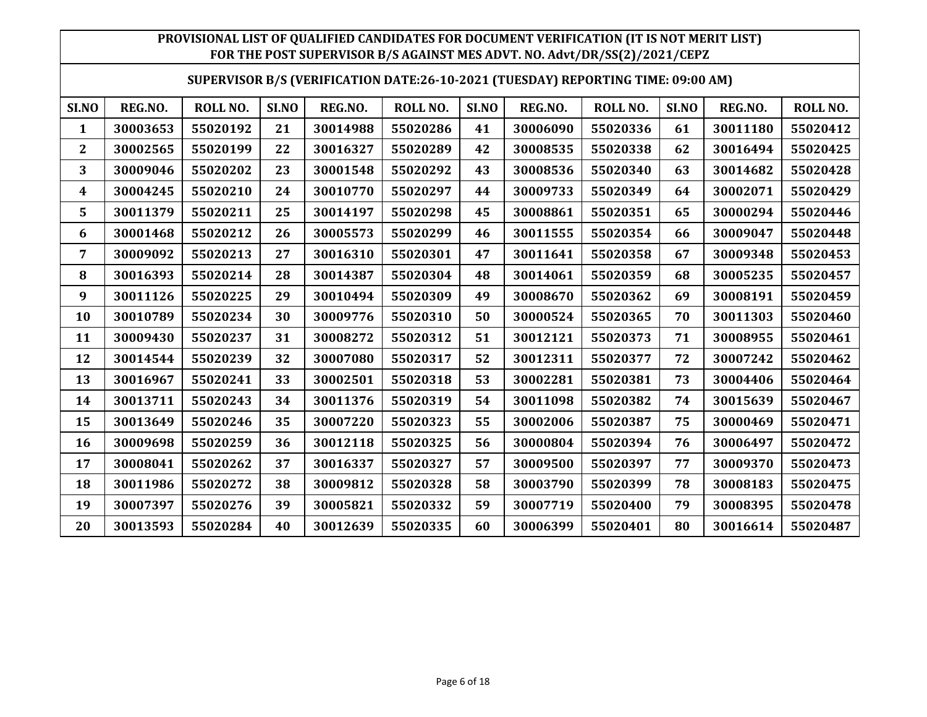#### **SUPERVISOR B/S (VERIFICATION DATE:26-10-2021 (TUESDAY) REPORTING TIME: 09:00 AM)**

| SI.NO          | REG.NO.  | ROLL NO. | SI.NO | REG.NO.  | ROLL NO. | SI.NO | REG.NO.  | ROLL NO. | SI.NO | REG.NO.  | ROLL NO. |
|----------------|----------|----------|-------|----------|----------|-------|----------|----------|-------|----------|----------|
| 1              | 30003653 | 55020192 | 21    | 30014988 | 55020286 | 41    | 30006090 | 55020336 | 61    | 30011180 | 55020412 |
| $\overline{2}$ | 30002565 | 55020199 | 22    | 30016327 | 55020289 | 42    | 30008535 | 55020338 | 62    | 30016494 | 55020425 |
| 3              | 30009046 | 55020202 | 23    | 30001548 | 55020292 | 43    | 30008536 | 55020340 | 63    | 30014682 | 55020428 |
| 4              | 30004245 | 55020210 | 24    | 30010770 | 55020297 | 44    | 30009733 | 55020349 | 64    | 30002071 | 55020429 |
| 5              | 30011379 | 55020211 | 25    | 30014197 | 55020298 | 45    | 30008861 | 55020351 | 65    | 30000294 | 55020446 |
| 6              | 30001468 | 55020212 | 26    | 30005573 | 55020299 | 46    | 30011555 | 55020354 | 66    | 30009047 | 55020448 |
| 7              | 30009092 | 55020213 | 27    | 30016310 | 55020301 | 47    | 30011641 | 55020358 | 67    | 30009348 | 55020453 |
| 8              | 30016393 | 55020214 | 28    | 30014387 | 55020304 | 48    | 30014061 | 55020359 | 68    | 30005235 | 55020457 |
| 9              | 30011126 | 55020225 | 29    | 30010494 | 55020309 | 49    | 30008670 | 55020362 | 69    | 30008191 | 55020459 |
| 10             | 30010789 | 55020234 | 30    | 30009776 | 55020310 | 50    | 30000524 | 55020365 | 70    | 30011303 | 55020460 |
| 11             | 30009430 | 55020237 | 31    | 30008272 | 55020312 | 51    | 30012121 | 55020373 | 71    | 30008955 | 55020461 |
| 12             | 30014544 | 55020239 | 32    | 30007080 | 55020317 | 52    | 30012311 | 55020377 | 72    | 30007242 | 55020462 |
| 13             | 30016967 | 55020241 | 33    | 30002501 | 55020318 | 53    | 30002281 | 55020381 | 73    | 30004406 | 55020464 |
| 14             | 30013711 | 55020243 | 34    | 30011376 | 55020319 | 54    | 30011098 | 55020382 | 74    | 30015639 | 55020467 |
| 15             | 30013649 | 55020246 | 35    | 30007220 | 55020323 | 55    | 30002006 | 55020387 | 75    | 30000469 | 55020471 |
| 16             | 30009698 | 55020259 | 36    | 30012118 | 55020325 | 56    | 30000804 | 55020394 | 76    | 30006497 | 55020472 |
| 17             | 30008041 | 55020262 | 37    | 30016337 | 55020327 | 57    | 30009500 | 55020397 | 77    | 30009370 | 55020473 |
| 18             | 30011986 | 55020272 | 38    | 30009812 | 55020328 | 58    | 30003790 | 55020399 | 78    | 30008183 | 55020475 |
| 19             | 30007397 | 55020276 | 39    | 30005821 | 55020332 | 59    | 30007719 | 55020400 | 79    | 30008395 | 55020478 |
| 20             | 30013593 | 55020284 | 40    | 30012639 | 55020335 | 60    | 30006399 | 55020401 | 80    | 30016614 | 55020487 |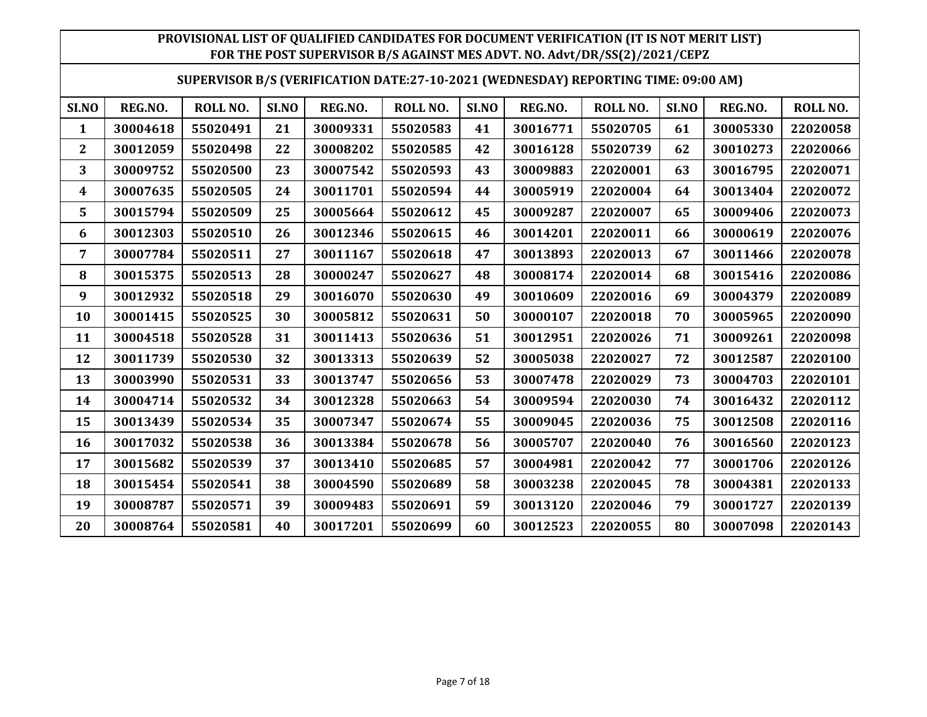|  | SUPERVISOR B/S (VERIFICATION DATE:27-10-2021 (WEDNESDAY) REPORTING TIME: 09:00 AM) |  |  |  |
|--|------------------------------------------------------------------------------------|--|--|--|
|--|------------------------------------------------------------------------------------|--|--|--|

| SI.NO | REG.NO.  | ROLL NO. | SI.NO | REG.NO.  | ROLL NO. | SI.NO | REG.NO.  | <b>ROLL NO.</b> | SI.NO | REG.NO.  | ROLL NO. |
|-------|----------|----------|-------|----------|----------|-------|----------|-----------------|-------|----------|----------|
| 1     | 30004618 | 55020491 | 21    | 30009331 | 55020583 | 41    | 30016771 | 55020705        | 61    | 30005330 | 22020058 |
| 2     | 30012059 | 55020498 | 22    | 30008202 | 55020585 | 42    | 30016128 | 55020739        | 62    | 30010273 | 22020066 |
| 3     | 30009752 | 55020500 | 23    | 30007542 | 55020593 | 43    | 30009883 | 22020001        | 63    | 30016795 | 22020071 |
| 4     | 30007635 | 55020505 | 24    | 30011701 | 55020594 | 44    | 30005919 | 22020004        | 64    | 30013404 | 22020072 |
| 5     | 30015794 | 55020509 | 25    | 30005664 | 55020612 | 45    | 30009287 | 22020007        | 65    | 30009406 | 22020073 |
| 6     | 30012303 | 55020510 | 26    | 30012346 | 55020615 | 46    | 30014201 | 22020011        | 66    | 30000619 | 22020076 |
| 7     | 30007784 | 55020511 | 27    | 30011167 | 55020618 | 47    | 30013893 | 22020013        | 67    | 30011466 | 22020078 |
| 8     | 30015375 | 55020513 | 28    | 30000247 | 55020627 | 48    | 30008174 | 22020014        | 68    | 30015416 | 22020086 |
| 9     | 30012932 | 55020518 | 29    | 30016070 | 55020630 | 49    | 30010609 | 22020016        | 69    | 30004379 | 22020089 |
| 10    | 30001415 | 55020525 | 30    | 30005812 | 55020631 | 50    | 30000107 | 22020018        | 70    | 30005965 | 22020090 |
| 11    | 30004518 | 55020528 | 31    | 30011413 | 55020636 | 51    | 30012951 | 22020026        | 71    | 30009261 | 22020098 |
| 12    | 30011739 | 55020530 | 32    | 30013313 | 55020639 | 52    | 30005038 | 22020027        | 72    | 30012587 | 22020100 |
| 13    | 30003990 | 55020531 | 33    | 30013747 | 55020656 | 53    | 30007478 | 22020029        | 73    | 30004703 | 22020101 |
| 14    | 30004714 | 55020532 | 34    | 30012328 | 55020663 | 54    | 30009594 | 22020030        | 74    | 30016432 | 22020112 |
| 15    | 30013439 | 55020534 | 35    | 30007347 | 55020674 | 55    | 30009045 | 22020036        | 75    | 30012508 | 22020116 |
| 16    | 30017032 | 55020538 | 36    | 30013384 | 55020678 | 56    | 30005707 | 22020040        | 76    | 30016560 | 22020123 |
| 17    | 30015682 | 55020539 | 37    | 30013410 | 55020685 | 57    | 30004981 | 22020042        | 77    | 30001706 | 22020126 |
| 18    | 30015454 | 55020541 | 38    | 30004590 | 55020689 | 58    | 30003238 | 22020045        | 78    | 30004381 | 22020133 |
| 19    | 30008787 | 55020571 | 39    | 30009483 | 55020691 | 59    | 30013120 | 22020046        | 79    | 30001727 | 22020139 |
| 20    | 30008764 | 55020581 | 40    | 30017201 | 55020699 | 60    | 30012523 | 22020055        | 80    | 30007098 | 22020143 |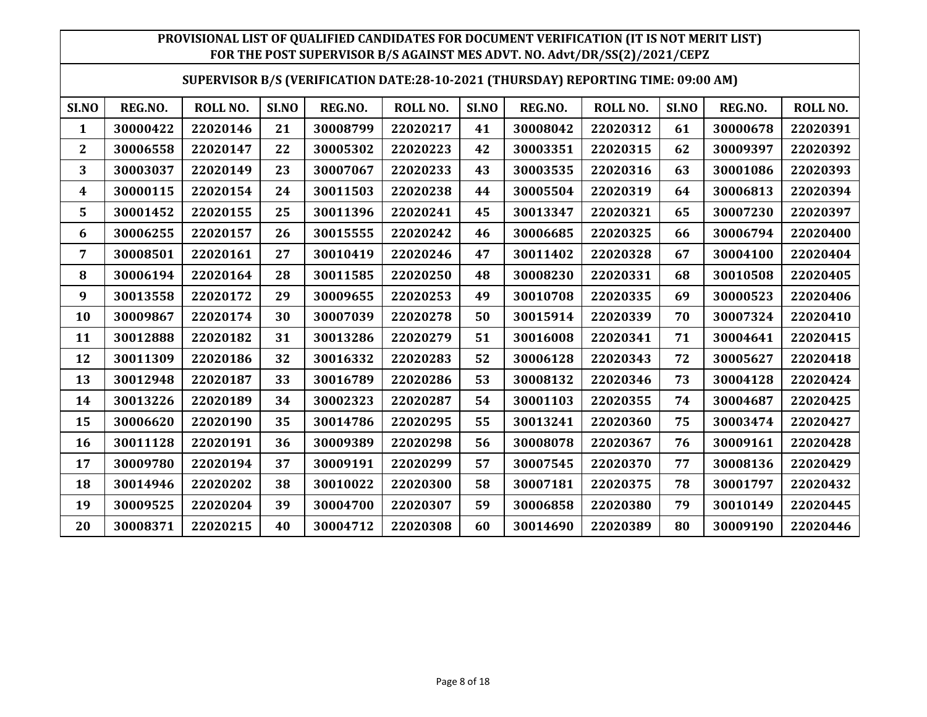#### **SUPERVISOR B/S (VERIFICATION DATE:28-10-2021 (THURSDAY) REPORTING TIME: 09:00 AM)**

| SI.NO          | REG.NO.  | ROLL NO. | SI.NO | REG.NO.  | ROLL NO. | SI.NO | REG.NO.  | <b>ROLL NO.</b> | SI.NO | REG.NO.  | ROLL NO. |
|----------------|----------|----------|-------|----------|----------|-------|----------|-----------------|-------|----------|----------|
| 1              | 30000422 | 22020146 | 21    | 30008799 | 22020217 | 41    | 30008042 | 22020312        | 61    | 30000678 | 22020391 |
| $\overline{2}$ | 30006558 | 22020147 | 22    | 30005302 | 22020223 | 42    | 30003351 | 22020315        | 62    | 30009397 | 22020392 |
| 3              | 30003037 | 22020149 | 23    | 30007067 | 22020233 | 43    | 30003535 | 22020316        | 63    | 30001086 | 22020393 |
| 4              | 30000115 | 22020154 | 24    | 30011503 | 22020238 | 44    | 30005504 | 22020319        | 64    | 30006813 | 22020394 |
| 5              | 30001452 | 22020155 | 25    | 30011396 | 22020241 | 45    | 30013347 | 22020321        | 65    | 30007230 | 22020397 |
| 6              | 30006255 | 22020157 | 26    | 30015555 | 22020242 | 46    | 30006685 | 22020325        | 66    | 30006794 | 22020400 |
| 7              | 30008501 | 22020161 | 27    | 30010419 | 22020246 | 47    | 30011402 | 22020328        | 67    | 30004100 | 22020404 |
| 8              | 30006194 | 22020164 | 28    | 30011585 | 22020250 | 48    | 30008230 | 22020331        | 68    | 30010508 | 22020405 |
| 9              | 30013558 | 22020172 | 29    | 30009655 | 22020253 | 49    | 30010708 | 22020335        | 69    | 30000523 | 22020406 |
| 10             | 30009867 | 22020174 | 30    | 30007039 | 22020278 | 50    | 30015914 | 22020339        | 70    | 30007324 | 22020410 |
| 11             | 30012888 | 22020182 | 31    | 30013286 | 22020279 | 51    | 30016008 | 22020341        | 71    | 30004641 | 22020415 |
| 12             | 30011309 | 22020186 | 32    | 30016332 | 22020283 | 52    | 30006128 | 22020343        | 72    | 30005627 | 22020418 |
| 13             | 30012948 | 22020187 | 33    | 30016789 | 22020286 | 53    | 30008132 | 22020346        | 73    | 30004128 | 22020424 |
| 14             | 30013226 | 22020189 | 34    | 30002323 | 22020287 | 54    | 30001103 | 22020355        | 74    | 30004687 | 22020425 |
| 15             | 30006620 | 22020190 | 35    | 30014786 | 22020295 | 55    | 30013241 | 22020360        | 75    | 30003474 | 22020427 |
| 16             | 30011128 | 22020191 | 36    | 30009389 | 22020298 | 56    | 30008078 | 22020367        | 76    | 30009161 | 22020428 |
| 17             | 30009780 | 22020194 | 37    | 30009191 | 22020299 | 57    | 30007545 | 22020370        | 77    | 30008136 | 22020429 |
| 18             | 30014946 | 22020202 | 38    | 30010022 | 22020300 | 58    | 30007181 | 22020375        | 78    | 30001797 | 22020432 |
| 19             | 30009525 | 22020204 | 39    | 30004700 | 22020307 | 59    | 30006858 | 22020380        | 79    | 30010149 | 22020445 |
| 20             | 30008371 | 22020215 | 40    | 30004712 | 22020308 | 60    | 30014690 | 22020389        | 80    | 30009190 | 22020446 |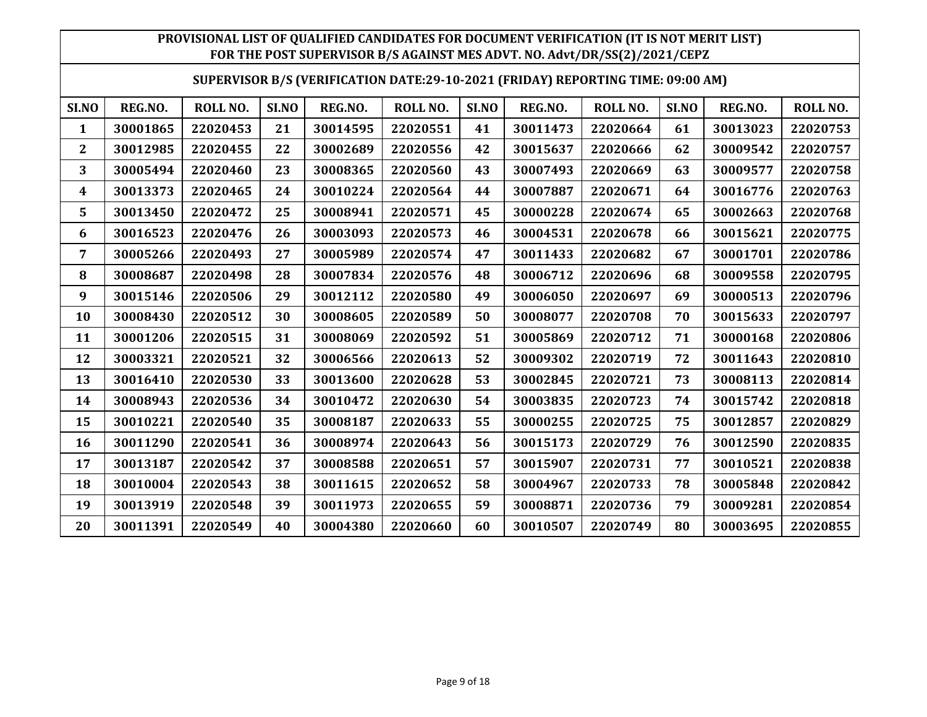|  |  | SUPERVISOR B/S (VERIFICATION DATE:29-10-2021 (FRIDAY) REPORTING TIME: 09:00 AM) |
|--|--|---------------------------------------------------------------------------------|
|--|--|---------------------------------------------------------------------------------|

| SI.NO        | REG.NO.  | ROLL NO. | SI.NO | REG.NO.  | ROLL NO. | SI.NO | REG.NO.  | ROLL NO. | SI.NO | REG.NO.  | ROLL NO. |
|--------------|----------|----------|-------|----------|----------|-------|----------|----------|-------|----------|----------|
| $\mathbf{1}$ | 30001865 | 22020453 | 21    | 30014595 | 22020551 | 41    | 30011473 | 22020664 | 61    | 30013023 | 22020753 |
| $\mathbf 2$  | 30012985 | 22020455 | 22    | 30002689 | 22020556 | 42    | 30015637 | 22020666 | 62    | 30009542 | 22020757 |
| 3            | 30005494 | 22020460 | 23    | 30008365 | 22020560 | 43    | 30007493 | 22020669 | 63    | 30009577 | 22020758 |
| 4            | 30013373 | 22020465 | 24    | 30010224 | 22020564 | 44    | 30007887 | 22020671 | 64    | 30016776 | 22020763 |
| 5            | 30013450 | 22020472 | 25    | 30008941 | 22020571 | 45    | 30000228 | 22020674 | 65    | 30002663 | 22020768 |
| 6            | 30016523 | 22020476 | 26    | 30003093 | 22020573 | 46    | 30004531 | 22020678 | 66    | 30015621 | 22020775 |
| 7            | 30005266 | 22020493 | 27    | 30005989 | 22020574 | 47    | 30011433 | 22020682 | 67    | 30001701 | 22020786 |
| 8            | 30008687 | 22020498 | 28    | 30007834 | 22020576 | 48    | 30006712 | 22020696 | 68    | 30009558 | 22020795 |
| 9            | 30015146 | 22020506 | 29    | 30012112 | 22020580 | 49    | 30006050 | 22020697 | 69    | 30000513 | 22020796 |
| 10           | 30008430 | 22020512 | 30    | 30008605 | 22020589 | 50    | 30008077 | 22020708 | 70    | 30015633 | 22020797 |
| 11           | 30001206 | 22020515 | 31    | 30008069 | 22020592 | 51    | 30005869 | 22020712 | 71    | 30000168 | 22020806 |
| 12           | 30003321 | 22020521 | 32    | 30006566 | 22020613 | 52    | 30009302 | 22020719 | 72    | 30011643 | 22020810 |
| 13           | 30016410 | 22020530 | 33    | 30013600 | 22020628 | 53    | 30002845 | 22020721 | 73    | 30008113 | 22020814 |
| 14           | 30008943 | 22020536 | 34    | 30010472 | 22020630 | 54    | 30003835 | 22020723 | 74    | 30015742 | 22020818 |
| 15           | 30010221 | 22020540 | 35    | 30008187 | 22020633 | 55    | 30000255 | 22020725 | 75    | 30012857 | 22020829 |
| 16           | 30011290 | 22020541 | 36    | 30008974 | 22020643 | 56    | 30015173 | 22020729 | 76    | 30012590 | 22020835 |
| 17           | 30013187 | 22020542 | 37    | 30008588 | 22020651 | 57    | 30015907 | 22020731 | 77    | 30010521 | 22020838 |
| 18           | 30010004 | 22020543 | 38    | 30011615 | 22020652 | 58    | 30004967 | 22020733 | 78    | 30005848 | 22020842 |
| 19           | 30013919 | 22020548 | 39    | 30011973 | 22020655 | 59    | 30008871 | 22020736 | 79    | 30009281 | 22020854 |
| 20           | 30011391 | 22020549 | 40    | 30004380 | 22020660 | 60    | 30010507 | 22020749 | 80    | 30003695 | 22020855 |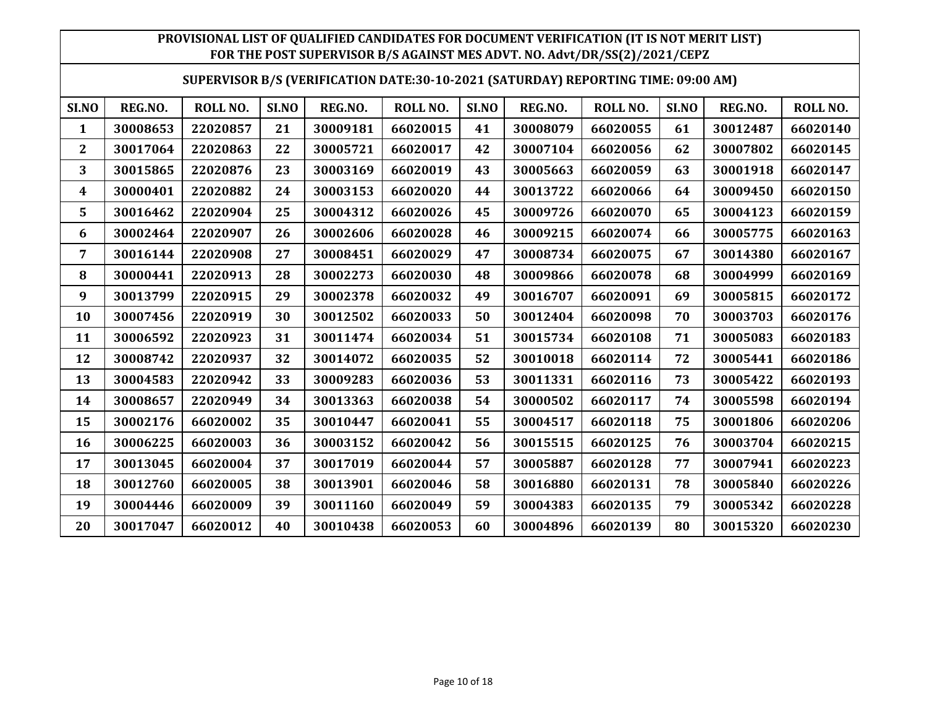#### **SUPERVISOR B/S (VERIFICATION DATE:30-10-2021 (SATURDAY) REPORTING TIME: 09:00 AM)**

| SI.NO          | REG.NO.  | ROLL NO. | SI.NO | REG.NO.  | ROLL NO. | SI.NO | REG.NO.  | ROLL NO. | SI.NO | REG.NO.  | ROLL NO. |
|----------------|----------|----------|-------|----------|----------|-------|----------|----------|-------|----------|----------|
| 1              | 30008653 | 22020857 | 21    | 30009181 | 66020015 | 41    | 30008079 | 66020055 | 61    | 30012487 | 66020140 |
| $\overline{2}$ | 30017064 | 22020863 | 22    | 30005721 | 66020017 | 42    | 30007104 | 66020056 | 62    | 30007802 | 66020145 |
| 3              | 30015865 | 22020876 | 23    | 30003169 | 66020019 | 43    | 30005663 | 66020059 | 63    | 30001918 | 66020147 |
| 4              | 30000401 | 22020882 | 24    | 30003153 | 66020020 | 44    | 30013722 | 66020066 | 64    | 30009450 | 66020150 |
| 5              | 30016462 | 22020904 | 25    | 30004312 | 66020026 | 45    | 30009726 | 66020070 | 65    | 30004123 | 66020159 |
| 6              | 30002464 | 22020907 | 26    | 30002606 | 66020028 | 46    | 30009215 | 66020074 | 66    | 30005775 | 66020163 |
| 7              | 30016144 | 22020908 | 27    | 30008451 | 66020029 | 47    | 30008734 | 66020075 | 67    | 30014380 | 66020167 |
| 8              | 30000441 | 22020913 | 28    | 30002273 | 66020030 | 48    | 30009866 | 66020078 | 68    | 30004999 | 66020169 |
| 9              | 30013799 | 22020915 | 29    | 30002378 | 66020032 | 49    | 30016707 | 66020091 | 69    | 30005815 | 66020172 |
| 10             | 30007456 | 22020919 | 30    | 30012502 | 66020033 | 50    | 30012404 | 66020098 | 70    | 30003703 | 66020176 |
| 11             | 30006592 | 22020923 | 31    | 30011474 | 66020034 | 51    | 30015734 | 66020108 | 71    | 30005083 | 66020183 |
| 12             | 30008742 | 22020937 | 32    | 30014072 | 66020035 | 52    | 30010018 | 66020114 | 72    | 30005441 | 66020186 |
| 13             | 30004583 | 22020942 | 33    | 30009283 | 66020036 | 53    | 30011331 | 66020116 | 73    | 30005422 | 66020193 |
| 14             | 30008657 | 22020949 | 34    | 30013363 | 66020038 | 54    | 30000502 | 66020117 | 74    | 30005598 | 66020194 |
| 15             | 30002176 | 66020002 | 35    | 30010447 | 66020041 | 55    | 30004517 | 66020118 | 75    | 30001806 | 66020206 |
| 16             | 30006225 | 66020003 | 36    | 30003152 | 66020042 | 56    | 30015515 | 66020125 | 76    | 30003704 | 66020215 |
| 17             | 30013045 | 66020004 | 37    | 30017019 | 66020044 | 57    | 30005887 | 66020128 | 77    | 30007941 | 66020223 |
| 18             | 30012760 | 66020005 | 38    | 30013901 | 66020046 | 58    | 30016880 | 66020131 | 78    | 30005840 | 66020226 |
| 19             | 30004446 | 66020009 | 39    | 30011160 | 66020049 | 59    | 30004383 | 66020135 | 79    | 30005342 | 66020228 |
| 20             | 30017047 | 66020012 | 40    | 30010438 | 66020053 | 60    | 30004896 | 66020139 | 80    | 30015320 | 66020230 |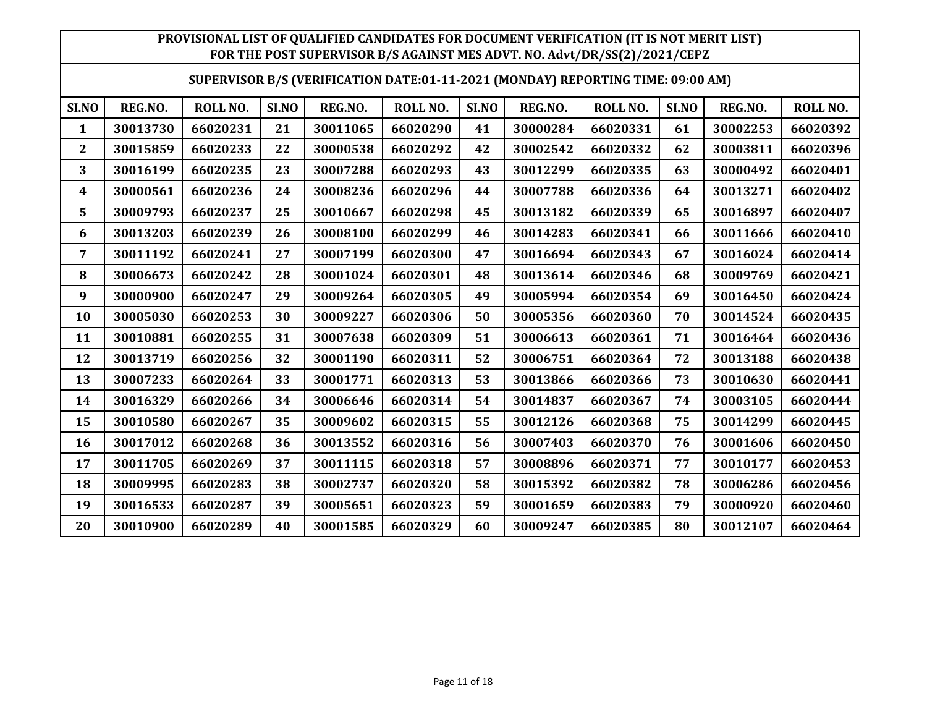#### **SUPERVISOR B/S (VERIFICATION DATE:01-11-2021 (MONDAY) REPORTING TIME: 09:00 AM)**

| SI.NO          | REG.NO.  | ROLL NO. | SI.NO | REG.NO.  | ROLL NO. | SI.NO | REG.NO.  | <b>ROLL NO.</b> | SI.NO | REG.NO.  | ROLL NO. |
|----------------|----------|----------|-------|----------|----------|-------|----------|-----------------|-------|----------|----------|
| 1              | 30013730 | 66020231 | 21    | 30011065 | 66020290 | 41    | 30000284 | 66020331        | 61    | 30002253 | 66020392 |
| $\overline{2}$ | 30015859 | 66020233 | 22    | 30000538 | 66020292 | 42    | 30002542 | 66020332        | 62    | 30003811 | 66020396 |
| 3              | 30016199 | 66020235 | 23    | 30007288 | 66020293 | 43    | 30012299 | 66020335        | 63    | 30000492 | 66020401 |
| 4              | 30000561 | 66020236 | 24    | 30008236 | 66020296 | 44    | 30007788 | 66020336        | 64    | 30013271 | 66020402 |
| 5              | 30009793 | 66020237 | 25    | 30010667 | 66020298 | 45    | 30013182 | 66020339        | 65    | 30016897 | 66020407 |
| 6              | 30013203 | 66020239 | 26    | 30008100 | 66020299 | 46    | 30014283 | 66020341        | 66    | 30011666 | 66020410 |
| 7              | 30011192 | 66020241 | 27    | 30007199 | 66020300 | 47    | 30016694 | 66020343        | 67    | 30016024 | 66020414 |
| 8              | 30006673 | 66020242 | 28    | 30001024 | 66020301 | 48    | 30013614 | 66020346        | 68    | 30009769 | 66020421 |
| 9              | 30000900 | 66020247 | 29    | 30009264 | 66020305 | 49    | 30005994 | 66020354        | 69    | 30016450 | 66020424 |
| 10             | 30005030 | 66020253 | 30    | 30009227 | 66020306 | 50    | 30005356 | 66020360        | 70    | 30014524 | 66020435 |
| 11             | 30010881 | 66020255 | 31    | 30007638 | 66020309 | 51    | 30006613 | 66020361        | 71    | 30016464 | 66020436 |
| 12             | 30013719 | 66020256 | 32    | 30001190 | 66020311 | 52    | 30006751 | 66020364        | 72    | 30013188 | 66020438 |
| 13             | 30007233 | 66020264 | 33    | 30001771 | 66020313 | 53    | 30013866 | 66020366        | 73    | 30010630 | 66020441 |
| 14             | 30016329 | 66020266 | 34    | 30006646 | 66020314 | 54    | 30014837 | 66020367        | 74    | 30003105 | 66020444 |
| 15             | 30010580 | 66020267 | 35    | 30009602 | 66020315 | 55    | 30012126 | 66020368        | 75    | 30014299 | 66020445 |
| 16             | 30017012 | 66020268 | 36    | 30013552 | 66020316 | 56    | 30007403 | 66020370        | 76    | 30001606 | 66020450 |
| 17             | 30011705 | 66020269 | 37    | 30011115 | 66020318 | 57    | 30008896 | 66020371        | 77    | 30010177 | 66020453 |
| 18             | 30009995 | 66020283 | 38    | 30002737 | 66020320 | 58    | 30015392 | 66020382        | 78    | 30006286 | 66020456 |
| 19             | 30016533 | 66020287 | 39    | 30005651 | 66020323 | 59    | 30001659 | 66020383        | 79    | 30000920 | 66020460 |
| 20             | 30010900 | 66020289 | 40    | 30001585 | 66020329 | 60    | 30009247 | 66020385        | 80    | 30012107 | 66020464 |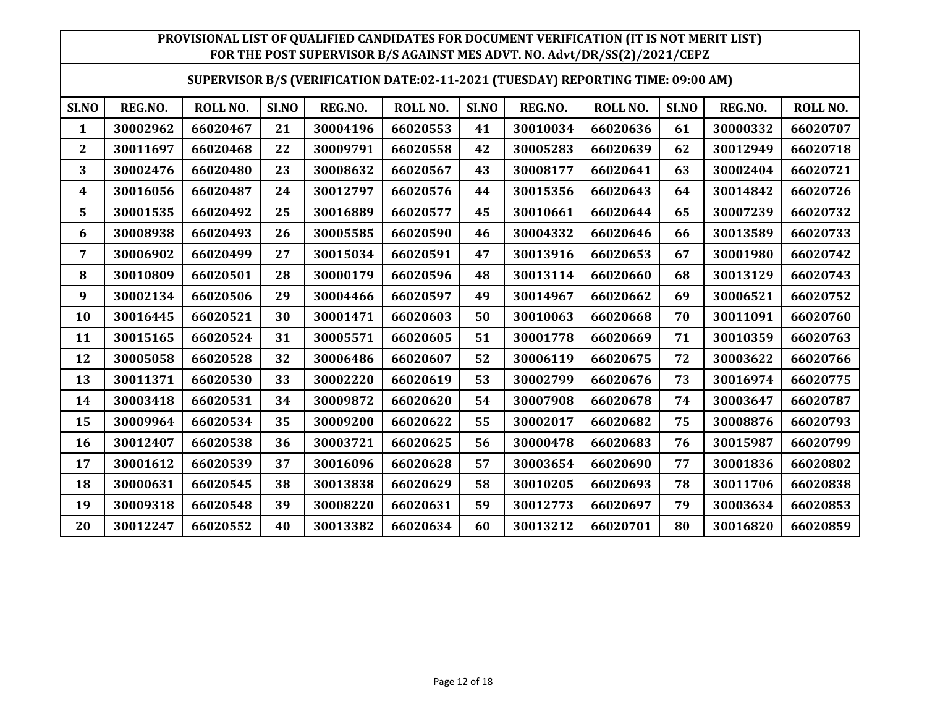#### **SUPERVISOR B/S (VERIFICATION DATE:02-11-2021 (TUESDAY) REPORTING TIME: 09:00 AM)**

| SI.NO          | REG.NO.  | ROLL NO. | SI.NO | REG.NO.  | ROLL NO. | SI.NO | REG.NO.  | <b>ROLL NO.</b> | SI.NO | REG.NO.  | ROLL NO. |
|----------------|----------|----------|-------|----------|----------|-------|----------|-----------------|-------|----------|----------|
| 1              | 30002962 | 66020467 | 21    | 30004196 | 66020553 | 41    | 30010034 | 66020636        | 61    | 30000332 | 66020707 |
| $\overline{2}$ | 30011697 | 66020468 | 22    | 30009791 | 66020558 | 42    | 30005283 | 66020639        | 62    | 30012949 | 66020718 |
| 3              | 30002476 | 66020480 | 23    | 30008632 | 66020567 | 43    | 30008177 | 66020641        | 63    | 30002404 | 66020721 |
| 4              | 30016056 | 66020487 | 24    | 30012797 | 66020576 | 44    | 30015356 | 66020643        | 64    | 30014842 | 66020726 |
| 5              | 30001535 | 66020492 | 25    | 30016889 | 66020577 | 45    | 30010661 | 66020644        | 65    | 30007239 | 66020732 |
| 6              | 30008938 | 66020493 | 26    | 30005585 | 66020590 | 46    | 30004332 | 66020646        | 66    | 30013589 | 66020733 |
| 7              | 30006902 | 66020499 | 27    | 30015034 | 66020591 | 47    | 30013916 | 66020653        | 67    | 30001980 | 66020742 |
| 8              | 30010809 | 66020501 | 28    | 30000179 | 66020596 | 48    | 30013114 | 66020660        | 68    | 30013129 | 66020743 |
| 9              | 30002134 | 66020506 | 29    | 30004466 | 66020597 | 49    | 30014967 | 66020662        | 69    | 30006521 | 66020752 |
| 10             | 30016445 | 66020521 | 30    | 30001471 | 66020603 | 50    | 30010063 | 66020668        | 70    | 30011091 | 66020760 |
| 11             | 30015165 | 66020524 | 31    | 30005571 | 66020605 | 51    | 30001778 | 66020669        | 71    | 30010359 | 66020763 |
| 12             | 30005058 | 66020528 | 32    | 30006486 | 66020607 | 52    | 30006119 | 66020675        | 72    | 30003622 | 66020766 |
| 13             | 30011371 | 66020530 | 33    | 30002220 | 66020619 | 53    | 30002799 | 66020676        | 73    | 30016974 | 66020775 |
| 14             | 30003418 | 66020531 | 34    | 30009872 | 66020620 | 54    | 30007908 | 66020678        | 74    | 30003647 | 66020787 |
| 15             | 30009964 | 66020534 | 35    | 30009200 | 66020622 | 55    | 30002017 | 66020682        | 75    | 30008876 | 66020793 |
| 16             | 30012407 | 66020538 | 36    | 30003721 | 66020625 | 56    | 30000478 | 66020683        | 76    | 30015987 | 66020799 |
| 17             | 30001612 | 66020539 | 37    | 30016096 | 66020628 | 57    | 30003654 | 66020690        | 77    | 30001836 | 66020802 |
| 18             | 30000631 | 66020545 | 38    | 30013838 | 66020629 | 58    | 30010205 | 66020693        | 78    | 30011706 | 66020838 |
| 19             | 30009318 | 66020548 | 39    | 30008220 | 66020631 | 59    | 30012773 | 66020697        | 79    | 30003634 | 66020853 |
| 20             | 30012247 | 66020552 | 40    | 30013382 | 66020634 | 60    | 30013212 | 66020701        | 80    | 30016820 | 66020859 |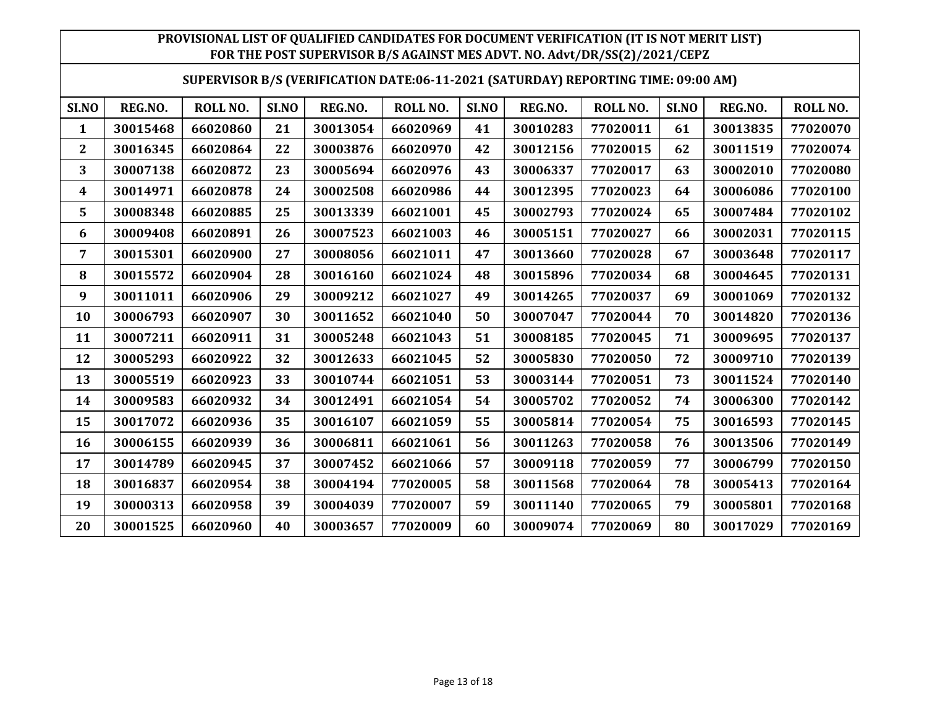#### **SUPERVISOR B/S (VERIFICATION DATE:06-11-2021 (SATURDAY) REPORTING TIME: 09:00 AM)**

| SI.NO        | REG.NO.  | ROLL NO. | SI.NO | REG.NO.  | ROLL NO. | SI.NO | REG.NO.  | <b>ROLL NO.</b> | SI.NO | REG.NO.  | ROLL NO. |
|--------------|----------|----------|-------|----------|----------|-------|----------|-----------------|-------|----------|----------|
| $\mathbf{1}$ | 30015468 | 66020860 | 21    | 30013054 | 66020969 | 41    | 30010283 | 77020011        | 61    | 30013835 | 77020070 |
| $\mathbf{2}$ | 30016345 | 66020864 | 22    | 30003876 | 66020970 | 42    | 30012156 | 77020015        | 62    | 30011519 | 77020074 |
| 3            | 30007138 | 66020872 | 23    | 30005694 | 66020976 | 43    | 30006337 | 77020017        | 63    | 30002010 | 77020080 |
| 4            | 30014971 | 66020878 | 24    | 30002508 | 66020986 | 44    | 30012395 | 77020023        | 64    | 30006086 | 77020100 |
| 5            | 30008348 | 66020885 | 25    | 30013339 | 66021001 | 45    | 30002793 | 77020024        | 65    | 30007484 | 77020102 |
| 6            | 30009408 | 66020891 | 26    | 30007523 | 66021003 | 46    | 30005151 | 77020027        | 66    | 30002031 | 77020115 |
| 7            | 30015301 | 66020900 | 27    | 30008056 | 66021011 | 47    | 30013660 | 77020028        | 67    | 30003648 | 77020117 |
| 8            | 30015572 | 66020904 | 28    | 30016160 | 66021024 | 48    | 30015896 | 77020034        | 68    | 30004645 | 77020131 |
| 9            | 30011011 | 66020906 | 29    | 30009212 | 66021027 | 49    | 30014265 | 77020037        | 69    | 30001069 | 77020132 |
| 10           | 30006793 | 66020907 | 30    | 30011652 | 66021040 | 50    | 30007047 | 77020044        | 70    | 30014820 | 77020136 |
| 11           | 30007211 | 66020911 | 31    | 30005248 | 66021043 | 51    | 30008185 | 77020045        | 71    | 30009695 | 77020137 |
| 12           | 30005293 | 66020922 | 32    | 30012633 | 66021045 | 52    | 30005830 | 77020050        | 72    | 30009710 | 77020139 |
| 13           | 30005519 | 66020923 | 33    | 30010744 | 66021051 | 53    | 30003144 | 77020051        | 73    | 30011524 | 77020140 |
| 14           | 30009583 | 66020932 | 34    | 30012491 | 66021054 | 54    | 30005702 | 77020052        | 74    | 30006300 | 77020142 |
| 15           | 30017072 | 66020936 | 35    | 30016107 | 66021059 | 55    | 30005814 | 77020054        | 75    | 30016593 | 77020145 |
| 16           | 30006155 | 66020939 | 36    | 30006811 | 66021061 | 56    | 30011263 | 77020058        | 76    | 30013506 | 77020149 |
| 17           | 30014789 | 66020945 | 37    | 30007452 | 66021066 | 57    | 30009118 | 77020059        | 77    | 30006799 | 77020150 |
| 18           | 30016837 | 66020954 | 38    | 30004194 | 77020005 | 58    | 30011568 | 77020064        | 78    | 30005413 | 77020164 |
| 19           | 30000313 | 66020958 | 39    | 30004039 | 77020007 | 59    | 30011140 | 77020065        | 79    | 30005801 | 77020168 |
| 20           | 30001525 | 66020960 | 40    | 30003657 | 77020009 | 60    | 30009074 | 77020069        | 80    | 30017029 | 77020169 |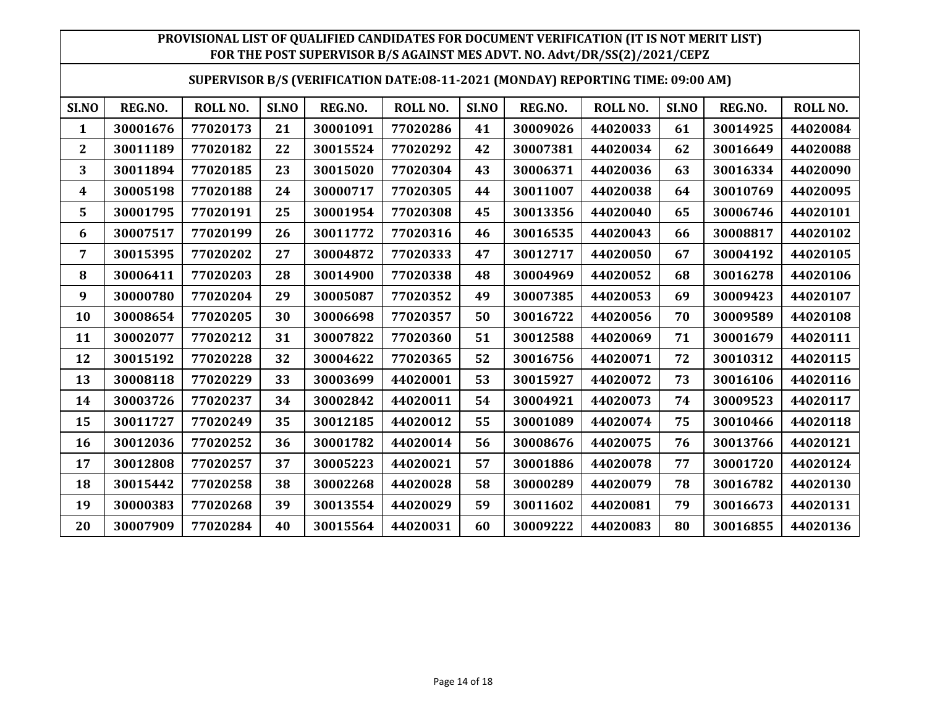#### **SUPERVISOR B/S (VERIFICATION DATE:08-11-2021 (MONDAY) REPORTING TIME: 09:00 AM)**

| SI.NO          | REG.NO.  | ROLL NO. | SI.NO | REG.NO.  | ROLL NO. | SI.NO | REG.NO.  | <b>ROLL NO.</b> | SI.NO | REG.NO.  | ROLL NO. |
|----------------|----------|----------|-------|----------|----------|-------|----------|-----------------|-------|----------|----------|
| 1              | 30001676 | 77020173 | 21    | 30001091 | 77020286 | 41    | 30009026 | 44020033        | 61    | 30014925 | 44020084 |
| $\overline{2}$ | 30011189 | 77020182 | 22    | 30015524 | 77020292 | 42    | 30007381 | 44020034        | 62    | 30016649 | 44020088 |
| 3              | 30011894 | 77020185 | 23    | 30015020 | 77020304 | 43    | 30006371 | 44020036        | 63    | 30016334 | 44020090 |
| 4              | 30005198 | 77020188 | 24    | 30000717 | 77020305 | 44    | 30011007 | 44020038        | 64    | 30010769 | 44020095 |
| 5              | 30001795 | 77020191 | 25    | 30001954 | 77020308 | 45    | 30013356 | 44020040        | 65    | 30006746 | 44020101 |
| 6              | 30007517 | 77020199 | 26    | 30011772 | 77020316 | 46    | 30016535 | 44020043        | 66    | 30008817 | 44020102 |
| 7              | 30015395 | 77020202 | 27    | 30004872 | 77020333 | 47    | 30012717 | 44020050        | 67    | 30004192 | 44020105 |
| 8              | 30006411 | 77020203 | 28    | 30014900 | 77020338 | 48    | 30004969 | 44020052        | 68    | 30016278 | 44020106 |
| 9              | 30000780 | 77020204 | 29    | 30005087 | 77020352 | 49    | 30007385 | 44020053        | 69    | 30009423 | 44020107 |
| 10             | 30008654 | 77020205 | 30    | 30006698 | 77020357 | 50    | 30016722 | 44020056        | 70    | 30009589 | 44020108 |
| 11             | 30002077 | 77020212 | 31    | 30007822 | 77020360 | 51    | 30012588 | 44020069        | 71    | 30001679 | 44020111 |
| 12             | 30015192 | 77020228 | 32    | 30004622 | 77020365 | 52    | 30016756 | 44020071        | 72    | 30010312 | 44020115 |
| 13             | 30008118 | 77020229 | 33    | 30003699 | 44020001 | 53    | 30015927 | 44020072        | 73    | 30016106 | 44020116 |
| 14             | 30003726 | 77020237 | 34    | 30002842 | 44020011 | 54    | 30004921 | 44020073        | 74    | 30009523 | 44020117 |
| 15             | 30011727 | 77020249 | 35    | 30012185 | 44020012 | 55    | 30001089 | 44020074        | 75    | 30010466 | 44020118 |
| 16             | 30012036 | 77020252 | 36    | 30001782 | 44020014 | 56    | 30008676 | 44020075        | 76    | 30013766 | 44020121 |
| 17             | 30012808 | 77020257 | 37    | 30005223 | 44020021 | 57    | 30001886 | 44020078        | 77    | 30001720 | 44020124 |
| 18             | 30015442 | 77020258 | 38    | 30002268 | 44020028 | 58    | 30000289 | 44020079        | 78    | 30016782 | 44020130 |
| 19             | 30000383 | 77020268 | 39    | 30013554 | 44020029 | 59    | 30011602 | 44020081        | 79    | 30016673 | 44020131 |
| 20             | 30007909 | 77020284 | 40    | 30015564 | 44020031 | 60    | 30009222 | 44020083        | 80    | 30016855 | 44020136 |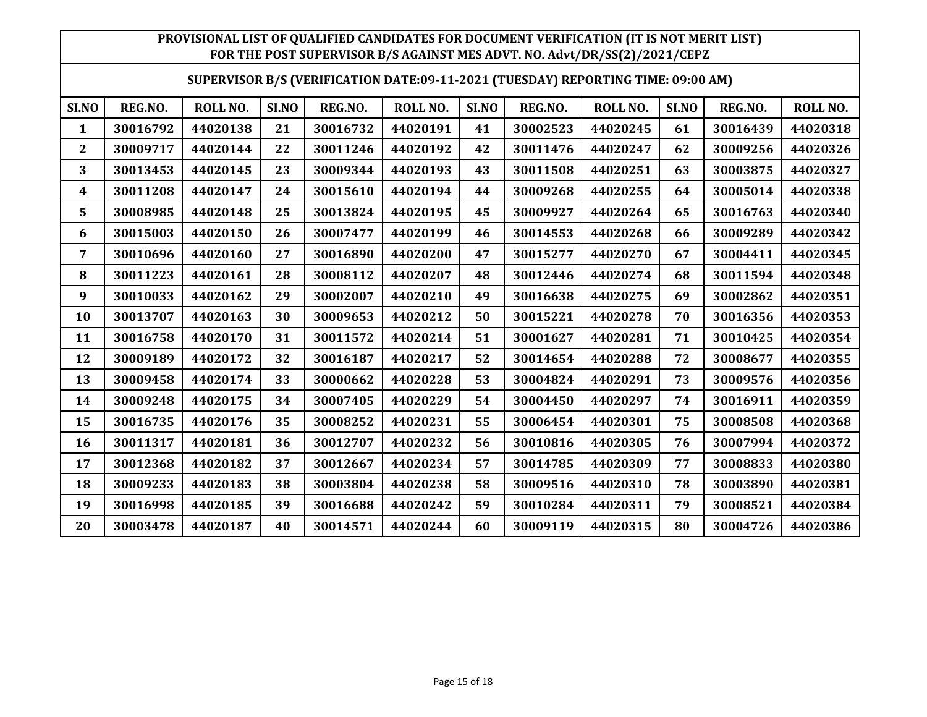#### **SUPERVISOR B/S (VERIFICATION DATE:09-11-2021 (TUESDAY) REPORTING TIME: 09:00 AM)**

| SI.NO          | REG.NO.  | ROLL NO. | SI.NO | REG.NO.  | <b>ROLL NO.</b> | SI.NO | REG.NO.  | <b>ROLL NO.</b> | SI.NO | REG.NO.  | ROLL NO. |
|----------------|----------|----------|-------|----------|-----------------|-------|----------|-----------------|-------|----------|----------|
| 1              | 30016792 | 44020138 | 21    | 30016732 | 44020191        | 41    | 30002523 | 44020245        | 61    | 30016439 | 44020318 |
| $\overline{2}$ | 30009717 | 44020144 | 22    | 30011246 | 44020192        | 42    | 30011476 | 44020247        | 62    | 30009256 | 44020326 |
| 3              | 30013453 | 44020145 | 23    | 30009344 | 44020193        | 43    | 30011508 | 44020251        | 63    | 30003875 | 44020327 |
| 4              | 30011208 | 44020147 | 24    | 30015610 | 44020194        | 44    | 30009268 | 44020255        | 64    | 30005014 | 44020338 |
| 5              | 30008985 | 44020148 | 25    | 30013824 | 44020195        | 45    | 30009927 | 44020264        | 65    | 30016763 | 44020340 |
| 6              | 30015003 | 44020150 | 26    | 30007477 | 44020199        | 46    | 30014553 | 44020268        | 66    | 30009289 | 44020342 |
| 7              | 30010696 | 44020160 | 27    | 30016890 | 44020200        | 47    | 30015277 | 44020270        | 67    | 30004411 | 44020345 |
| 8              | 30011223 | 44020161 | 28    | 30008112 | 44020207        | 48    | 30012446 | 44020274        | 68    | 30011594 | 44020348 |
| 9              | 30010033 | 44020162 | 29    | 30002007 | 44020210        | 49    | 30016638 | 44020275        | 69    | 30002862 | 44020351 |
| 10             | 30013707 | 44020163 | 30    | 30009653 | 44020212        | 50    | 30015221 | 44020278        | 70    | 30016356 | 44020353 |
| 11             | 30016758 | 44020170 | 31    | 30011572 | 44020214        | 51    | 30001627 | 44020281        | 71    | 30010425 | 44020354 |
| 12             | 30009189 | 44020172 | 32    | 30016187 | 44020217        | 52    | 30014654 | 44020288        | 72    | 30008677 | 44020355 |
| 13             | 30009458 | 44020174 | 33    | 30000662 | 44020228        | 53    | 30004824 | 44020291        | 73    | 30009576 | 44020356 |
| 14             | 30009248 | 44020175 | 34    | 30007405 | 44020229        | 54    | 30004450 | 44020297        | 74    | 30016911 | 44020359 |
| 15             | 30016735 | 44020176 | 35    | 30008252 | 44020231        | 55    | 30006454 | 44020301        | 75    | 30008508 | 44020368 |
| 16             | 30011317 | 44020181 | 36    | 30012707 | 44020232        | 56    | 30010816 | 44020305        | 76    | 30007994 | 44020372 |
| 17             | 30012368 | 44020182 | 37    | 30012667 | 44020234        | 57    | 30014785 | 44020309        | 77    | 30008833 | 44020380 |
| 18             | 30009233 | 44020183 | 38    | 30003804 | 44020238        | 58    | 30009516 | 44020310        | 78    | 30003890 | 44020381 |
| 19             | 30016998 | 44020185 | 39    | 30016688 | 44020242        | 59    | 30010284 | 44020311        | 79    | 30008521 | 44020384 |
| 20             | 30003478 | 44020187 | 40    | 30014571 | 44020244        | 60    | 30009119 | 44020315        | 80    | 30004726 | 44020386 |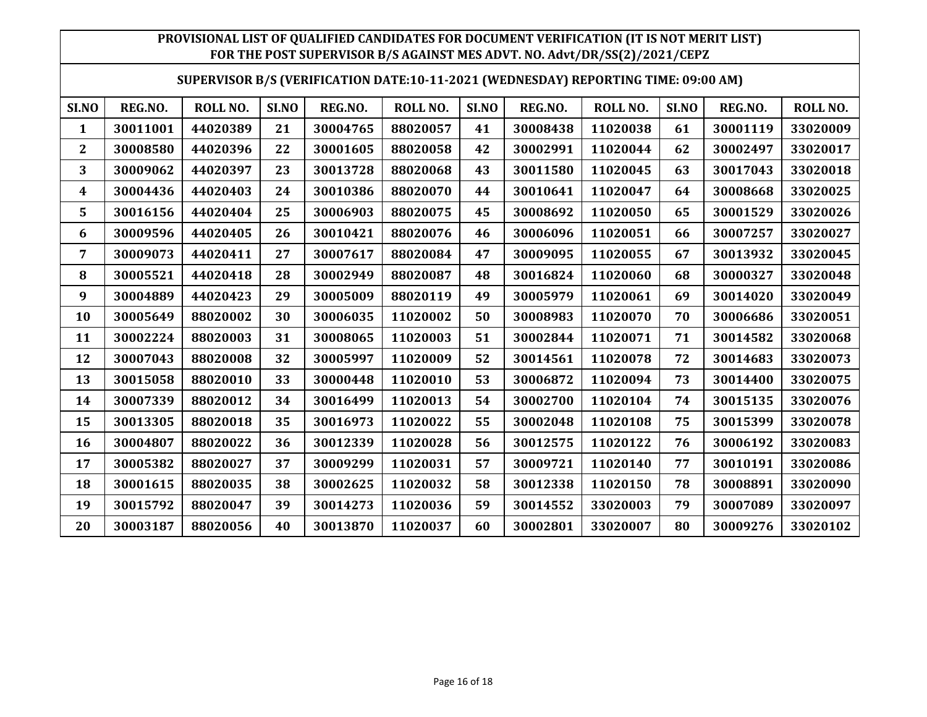#### **SUPERVISOR B/S (VERIFICATION DATE:10-11-2021 (WEDNESDAY) REPORTING TIME: 09:00 AM)**

| SI.NO                   | REG.NO.  | ROLL NO. | SI.NO | REG.NO.  | ROLL NO. | SI.NO | REG.NO.  | <b>ROLL NO.</b> | SI.NO | REG.NO.  | ROLL NO. |
|-------------------------|----------|----------|-------|----------|----------|-------|----------|-----------------|-------|----------|----------|
| 1                       | 30011001 | 44020389 | 21    | 30004765 | 88020057 | 41    | 30008438 | 11020038        | 61    | 30001119 | 33020009 |
| $\overline{\mathbf{2}}$ | 30008580 | 44020396 | 22    | 30001605 | 88020058 | 42    | 30002991 | 11020044        | 62    | 30002497 | 33020017 |
| 3                       | 30009062 | 44020397 | 23    | 30013728 | 88020068 | 43    | 30011580 | 11020045        | 63    | 30017043 | 33020018 |
| 4                       | 30004436 | 44020403 | 24    | 30010386 | 88020070 | 44    | 30010641 | 11020047        | 64    | 30008668 | 33020025 |
| 5                       | 30016156 | 44020404 | 25    | 30006903 | 88020075 | 45    | 30008692 | 11020050        | 65    | 30001529 | 33020026 |
| 6                       | 30009596 | 44020405 | 26    | 30010421 | 88020076 | 46    | 30006096 | 11020051        | 66    | 30007257 | 33020027 |
| 7                       | 30009073 | 44020411 | 27    | 30007617 | 88020084 | 47    | 30009095 | 11020055        | 67    | 30013932 | 33020045 |
| 8                       | 30005521 | 44020418 | 28    | 30002949 | 88020087 | 48    | 30016824 | 11020060        | 68    | 30000327 | 33020048 |
| 9                       | 30004889 | 44020423 | 29    | 30005009 | 88020119 | 49    | 30005979 | 11020061        | 69    | 30014020 | 33020049 |
| 10                      | 30005649 | 88020002 | 30    | 30006035 | 11020002 | 50    | 30008983 | 11020070        | 70    | 30006686 | 33020051 |
| 11                      | 30002224 | 88020003 | 31    | 30008065 | 11020003 | 51    | 30002844 | 11020071        | 71    | 30014582 | 33020068 |
| 12                      | 30007043 | 88020008 | 32    | 30005997 | 11020009 | 52    | 30014561 | 11020078        | 72    | 30014683 | 33020073 |
| 13                      | 30015058 | 88020010 | 33    | 30000448 | 11020010 | 53    | 30006872 | 11020094        | 73    | 30014400 | 33020075 |
| 14                      | 30007339 | 88020012 | 34    | 30016499 | 11020013 | 54    | 30002700 | 11020104        | 74    | 30015135 | 33020076 |
| 15                      | 30013305 | 88020018 | 35    | 30016973 | 11020022 | 55    | 30002048 | 11020108        | 75    | 30015399 | 33020078 |
| 16                      | 30004807 | 88020022 | 36    | 30012339 | 11020028 | 56    | 30012575 | 11020122        | 76    | 30006192 | 33020083 |
| 17                      | 30005382 | 88020027 | 37    | 30009299 | 11020031 | 57    | 30009721 | 11020140        | 77    | 30010191 | 33020086 |
| 18                      | 30001615 | 88020035 | 38    | 30002625 | 11020032 | 58    | 30012338 | 11020150        | 78    | 30008891 | 33020090 |
| 19                      | 30015792 | 88020047 | 39    | 30014273 | 11020036 | 59    | 30014552 | 33020003        | 79    | 30007089 | 33020097 |
| 20                      | 30003187 | 88020056 | 40    | 30013870 | 11020037 | 60    | 30002801 | 33020007        | 80    | 30009276 | 33020102 |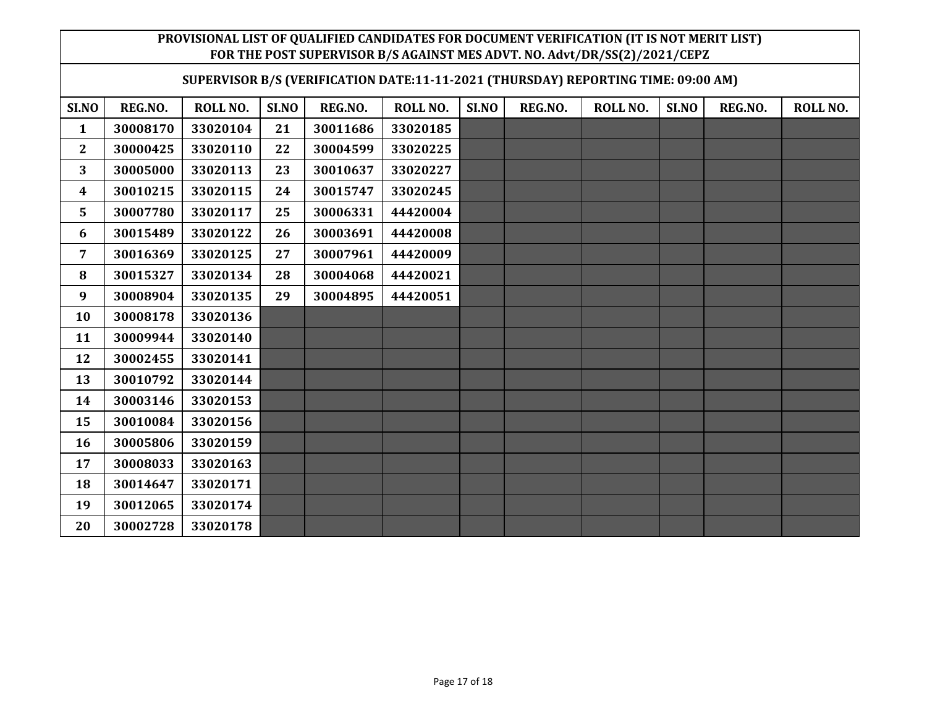| SUPERVISOR B/S (VERIFICATION DATE:11-11-2021 (THURSDAY) REPORTING TIME: 09:00 AM) |          |          |       |          |          |       |         |          |       |         |                 |
|-----------------------------------------------------------------------------------|----------|----------|-------|----------|----------|-------|---------|----------|-------|---------|-----------------|
| SI.NO                                                                             | REG.NO.  | ROLL NO. | SI.NO | REG.NO.  | ROLL NO. | SI.NO | REG.NO. | ROLL NO. | SI.NO | REG.NO. | <b>ROLL NO.</b> |
| $\mathbf{1}$                                                                      | 30008170 | 33020104 | 21    | 30011686 | 33020185 |       |         |          |       |         |                 |
| $\mathbf{2}$                                                                      | 30000425 | 33020110 | 22    | 30004599 | 33020225 |       |         |          |       |         |                 |
| 3                                                                                 | 30005000 | 33020113 | 23    | 30010637 | 33020227 |       |         |          |       |         |                 |
| 4                                                                                 | 30010215 | 33020115 | 24    | 30015747 | 33020245 |       |         |          |       |         |                 |
| 5                                                                                 | 30007780 | 33020117 | 25    | 30006331 | 44420004 |       |         |          |       |         |                 |
| 6                                                                                 | 30015489 | 33020122 | 26    | 30003691 | 44420008 |       |         |          |       |         |                 |
| 7                                                                                 | 30016369 | 33020125 | 27    | 30007961 | 44420009 |       |         |          |       |         |                 |
| 8                                                                                 | 30015327 | 33020134 | 28    | 30004068 | 44420021 |       |         |          |       |         |                 |
| 9                                                                                 | 30008904 | 33020135 | 29    | 30004895 | 44420051 |       |         |          |       |         |                 |
| 10                                                                                | 30008178 | 33020136 |       |          |          |       |         |          |       |         |                 |
| 11                                                                                | 30009944 | 33020140 |       |          |          |       |         |          |       |         |                 |
| 12                                                                                | 30002455 | 33020141 |       |          |          |       |         |          |       |         |                 |
| 13                                                                                | 30010792 | 33020144 |       |          |          |       |         |          |       |         |                 |
| 14                                                                                | 30003146 | 33020153 |       |          |          |       |         |          |       |         |                 |
| 15                                                                                | 30010084 | 33020156 |       |          |          |       |         |          |       |         |                 |
| 16                                                                                | 30005806 | 33020159 |       |          |          |       |         |          |       |         |                 |
| 17                                                                                | 30008033 | 33020163 |       |          |          |       |         |          |       |         |                 |
| 18                                                                                | 30014647 | 33020171 |       |          |          |       |         |          |       |         |                 |
| 19                                                                                | 30012065 | 33020174 |       |          |          |       |         |          |       |         |                 |
| 20                                                                                | 30002728 | 33020178 |       |          |          |       |         |          |       |         |                 |